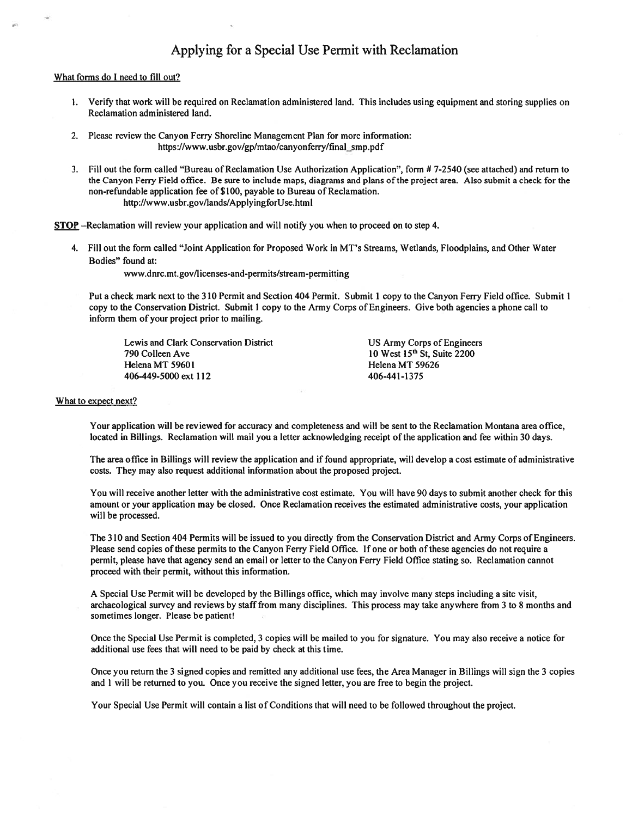# Applying for a Special Use Permit with Reclamation

### What forms do I need to fill out?

- 1. Verify that work will be required on Reclamation administered land. This includes using equipment and storing supplies on Reclamation administered land.
- 2. Please review the Canyon Ferry Shoreline Management Plan for more information: https://www.usbr.gov/gp/mtao/canyonferry/final\_smp.pdf
- 3. Fill out the form called "Bureau of Reclamation Use Authorization Application", form # 7-2540 (see attached) and return to the Canyon Ferry Field office. Be sure to include maps, diagrams and plans of the project area. Also submit a check for the non-refundable application fee of \$100, payable to Bureau of Reclamation. http://www.usbr.gov/lands/ApplyingforUse.html

STOP -Reclamation will review your application and will notify you when to proceed on to step 4.

4. Fill out the form called "Joint Application for Proposed Work in MT's Streams, Wetlands, Floodplains, and Other Water Bodies" found at:

www.dnrc.mt.gov/licenses-and-permits/stream-permitting

Put a check mark next to the 310 Permit and Section 404 Permit. Submit 1 copy to the Canyon Ferry Field office. Submit 1 copy to the Conservation District. Submit 1 copy to the Army Corps of Engineers. Give both agencies a phone call to inform them of your project prior to mailing.

Lewis and Clark Conservation District 790 Colleen Ave Helena MT 59601 406-449-5000 ext 112

**US Army Corps of Engineers** 10 West 15<sup>th</sup> St, Suite 2200 Helena MT 59626 406-441-1375

### What to expect next?

Your application will be reviewed for accuracy and completeness and will be sent to the Reclamation Montana area office, located in Billings. Reclamation will mail you a letter acknowledging receipt of the application and fee within 30 days.

The area office in Billings will review the application and if found appropriate, will develop a cost estimate of administrative costs. They may also request additional information about the proposed project.

You will receive another letter with the administrative cost estimate. You will have 90 days to submit another check for this amount or your application may be closed. Once Reclamation receives the estimated administrative costs, your application will be processed.

The 310 and Section 404 Permits will be issued to you directly from the Conservation District and Army Corps of Engineers. Please send copies of these permits to the Canyon Ferry Field Office. If one or both of these agencies do not require a permit, please have that agency send an email or letter to the Canyon Ferry Field Office stating so. Reclamation cannot proceed with their permit, without this information.

A Special Use Permit will be developed by the Billings office, which may involve many steps including a site visit, archaeological survey and reviews by staff from many disciplines. This process may take anywhere from 3 to 8 months and sometimes longer. Please be patient!

Once the Special Use Permit is completed, 3 copies will be mailed to you for signature. You may also receive a notice for additional use fees that will need to be paid by check at this time.

Once you return the 3 signed copies and remitted any additional use fees, the Area Manager in Billings will sign the 3 copies and 1 will be returned to you. Once you receive the signed letter, you are free to begin the project.

Your Special Use Permit will contain a list of Conditions that will need to be followed throughout the project.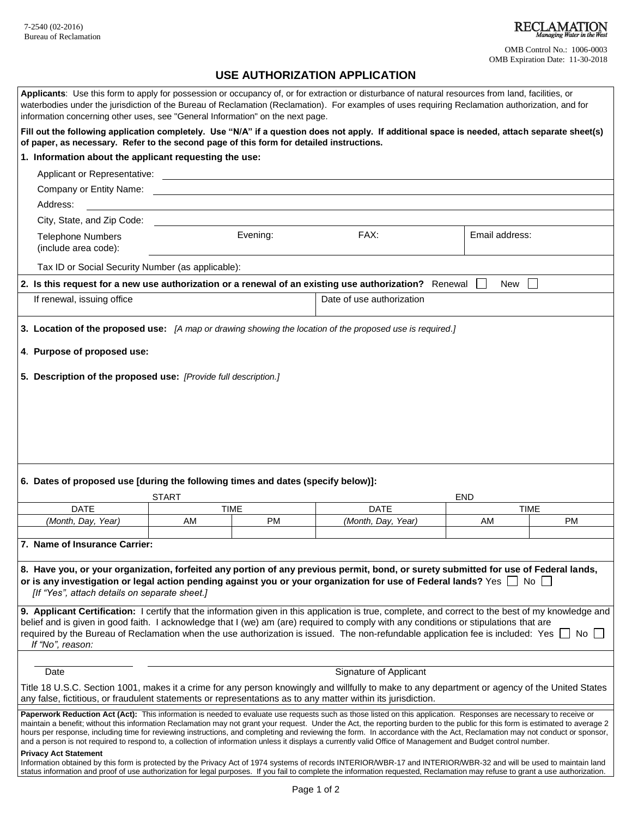OMB Control No.: 1006-0003 OMB Expiration Date: 11-30-2018

# **USE AUTHORIZATION APPLICATION**

| information concerning other uses, see "General Information" on the next page.                                                                                                                                                                                                                                                                                                                                                                                                                                              |              |                          | Applicants: Use this form to apply for possession or occupancy of, or for extraction or disturbance of natural resources from land, facilities, or<br>waterbodies under the jurisdiction of the Bureau of Reclamation (Reclamation). For examples of uses requiring Reclamation authorization, and for |            |                          |  |
|-----------------------------------------------------------------------------------------------------------------------------------------------------------------------------------------------------------------------------------------------------------------------------------------------------------------------------------------------------------------------------------------------------------------------------------------------------------------------------------------------------------------------------|--------------|--------------------------|--------------------------------------------------------------------------------------------------------------------------------------------------------------------------------------------------------------------------------------------------------------------------------------------------------|------------|--------------------------|--|
| of paper, as necessary. Refer to the second page of this form for detailed instructions.                                                                                                                                                                                                                                                                                                                                                                                                                                    |              |                          | Fill out the following application completely. Use "N/A" if a question does not apply. If additional space is needed, attach separate sheet(s)                                                                                                                                                         |            |                          |  |
| 1. Information about the applicant requesting the use:                                                                                                                                                                                                                                                                                                                                                                                                                                                                      |              |                          |                                                                                                                                                                                                                                                                                                        |            |                          |  |
|                                                                                                                                                                                                                                                                                                                                                                                                                                                                                                                             |              |                          |                                                                                                                                                                                                                                                                                                        |            |                          |  |
| Company or Entity Name: The company of Entity Name:                                                                                                                                                                                                                                                                                                                                                                                                                                                                         |              |                          |                                                                                                                                                                                                                                                                                                        |            |                          |  |
| Address:                                                                                                                                                                                                                                                                                                                                                                                                                                                                                                                    |              |                          |                                                                                                                                                                                                                                                                                                        |            |                          |  |
| City, State, and Zip Code:                                                                                                                                                                                                                                                                                                                                                                                                                                                                                                  |              |                          |                                                                                                                                                                                                                                                                                                        |            |                          |  |
| <b>Telephone Numbers</b><br>(include area code):                                                                                                                                                                                                                                                                                                                                                                                                                                                                            |              | Evening:                 | FAX:                                                                                                                                                                                                                                                                                                   |            | Email address:           |  |
| Tax ID or Social Security Number (as applicable):                                                                                                                                                                                                                                                                                                                                                                                                                                                                           |              |                          |                                                                                                                                                                                                                                                                                                        |            |                          |  |
| 2. Is this request for a new use authorization or a renewal of an existing use authorization? Renewal<br>New                                                                                                                                                                                                                                                                                                                                                                                                                |              |                          |                                                                                                                                                                                                                                                                                                        |            |                          |  |
| If renewal, issuing office                                                                                                                                                                                                                                                                                                                                                                                                                                                                                                  |              |                          | Date of use authorization                                                                                                                                                                                                                                                                              |            |                          |  |
| 3. Location of the proposed use: [A map or drawing showing the location of the proposed use is required.]                                                                                                                                                                                                                                                                                                                                                                                                                   |              |                          |                                                                                                                                                                                                                                                                                                        |            |                          |  |
| 4. Purpose of proposed use:                                                                                                                                                                                                                                                                                                                                                                                                                                                                                                 |              |                          |                                                                                                                                                                                                                                                                                                        |            |                          |  |
| 5. Description of the proposed use: [Provide full description.]                                                                                                                                                                                                                                                                                                                                                                                                                                                             |              |                          |                                                                                                                                                                                                                                                                                                        |            |                          |  |
|                                                                                                                                                                                                                                                                                                                                                                                                                                                                                                                             |              |                          |                                                                                                                                                                                                                                                                                                        |            |                          |  |
|                                                                                                                                                                                                                                                                                                                                                                                                                                                                                                                             |              |                          |                                                                                                                                                                                                                                                                                                        |            |                          |  |
|                                                                                                                                                                                                                                                                                                                                                                                                                                                                                                                             |              |                          |                                                                                                                                                                                                                                                                                                        |            |                          |  |
|                                                                                                                                                                                                                                                                                                                                                                                                                                                                                                                             |              |                          |                                                                                                                                                                                                                                                                                                        |            |                          |  |
|                                                                                                                                                                                                                                                                                                                                                                                                                                                                                                                             |              |                          |                                                                                                                                                                                                                                                                                                        |            |                          |  |
|                                                                                                                                                                                                                                                                                                                                                                                                                                                                                                                             |              |                          |                                                                                                                                                                                                                                                                                                        |            |                          |  |
| 6. Dates of proposed use [during the following times and dates (specify below)]:                                                                                                                                                                                                                                                                                                                                                                                                                                            |              |                          |                                                                                                                                                                                                                                                                                                        |            |                          |  |
|                                                                                                                                                                                                                                                                                                                                                                                                                                                                                                                             | <b>START</b> |                          |                                                                                                                                                                                                                                                                                                        | <b>END</b> |                          |  |
| <b>DATE</b><br>(Month, Day, Year)                                                                                                                                                                                                                                                                                                                                                                                                                                                                                           | AM           | <b>TIME</b><br><b>PM</b> | <b>DATE</b><br>(Month, Day, Year)                                                                                                                                                                                                                                                                      | AM         | <b>TIME</b><br><b>PM</b> |  |
|                                                                                                                                                                                                                                                                                                                                                                                                                                                                                                                             |              |                          |                                                                                                                                                                                                                                                                                                        |            |                          |  |
| $\overline{7}$ .<br><b>Name of Insurance Carrier:</b>                                                                                                                                                                                                                                                                                                                                                                                                                                                                       |              |                          |                                                                                                                                                                                                                                                                                                        |            |                          |  |
|                                                                                                                                                                                                                                                                                                                                                                                                                                                                                                                             |              |                          |                                                                                                                                                                                                                                                                                                        |            |                          |  |
| 8. Have you, or your organization, forfeited any portion of any previous permit, bond, or surety submitted for use of Federal lands,<br>or is any investigation or legal action pending against you or your organization for use of Federal lands? Yes $\Box$ No $\Box$                                                                                                                                                                                                                                                     |              |                          |                                                                                                                                                                                                                                                                                                        |            |                          |  |
| [If "Yes", attach details on separate sheet.]                                                                                                                                                                                                                                                                                                                                                                                                                                                                               |              |                          |                                                                                                                                                                                                                                                                                                        |            |                          |  |
| 9. Applicant Certification: I certify that the information given in this application is true, complete, and correct to the best of my knowledge and                                                                                                                                                                                                                                                                                                                                                                         |              |                          |                                                                                                                                                                                                                                                                                                        |            |                          |  |
| belief and is given in good faith. I acknowledge that I (we) am (are) required to comply with any conditions or stipulations that are                                                                                                                                                                                                                                                                                                                                                                                       |              |                          |                                                                                                                                                                                                                                                                                                        |            |                          |  |
| If "No", reason:                                                                                                                                                                                                                                                                                                                                                                                                                                                                                                            |              |                          | required by the Bureau of Reclamation when the use authorization is issued. The non-refundable application fee is included: Yes                                                                                                                                                                        |            | No l                     |  |
|                                                                                                                                                                                                                                                                                                                                                                                                                                                                                                                             |              |                          |                                                                                                                                                                                                                                                                                                        |            |                          |  |
| Signature of Applicant<br>Date                                                                                                                                                                                                                                                                                                                                                                                                                                                                                              |              |                          |                                                                                                                                                                                                                                                                                                        |            |                          |  |
| Title 18 U.S.C. Section 1001, makes it a crime for any person knowingly and willfully to make to any department or agency of the United States                                                                                                                                                                                                                                                                                                                                                                              |              |                          |                                                                                                                                                                                                                                                                                                        |            |                          |  |
| any false, fictitious, or fraudulent statements or representations as to any matter within its jurisdiction.                                                                                                                                                                                                                                                                                                                                                                                                                |              |                          |                                                                                                                                                                                                                                                                                                        |            |                          |  |
| Paperwork Reduction Act (Act): This information is needed to evaluate use requests such as those listed on this application. Responses are necessary to receive or                                                                                                                                                                                                                                                                                                                                                          |              |                          |                                                                                                                                                                                                                                                                                                        |            |                          |  |
| maintain a benefit; without this information Reclamation may not grant your request. Under the Act, the reporting burden to the public for this form is estimated to average 2<br>hours per response, including time for reviewing instructions, and completing and reviewing the form. In accordance with the Act, Reclamation may not conduct or sponsor,<br>and a person is not required to respond to, a collection of information unless it displays a currently valid Office of Management and Budget control number. |              |                          |                                                                                                                                                                                                                                                                                                        |            |                          |  |
| <b>Privacy Act Statement</b><br>Information obtained by this form is protected by the Privacy Act of 1974 systems of records INTERIOR/WBR-17 and INTERIOR/WBR-32 and will be used to maintain land<br>status information and proof of use authorization for legal purposes. If you fail to complete the information requested, Reclamation may refuse to grant a use authorization.                                                                                                                                         |              |                          |                                                                                                                                                                                                                                                                                                        |            |                          |  |